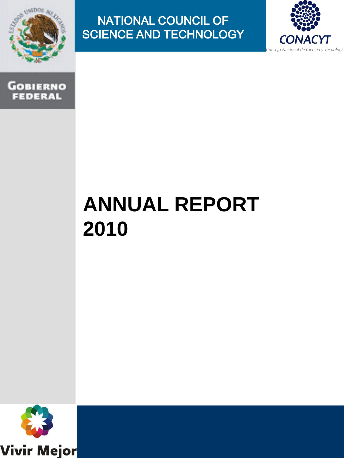

### NATIONAL COUNCIL OF SCIENCE AND TECHNOLOGY





# **ANNUAL REPORT 2010**

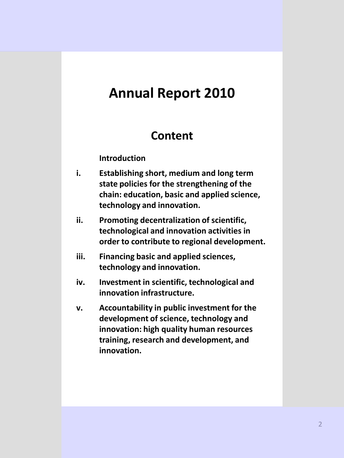# **Annual Report 2010**

### **Content**

#### **Introduction**

- **i. Establishing short, medium and long term state policies for the strengthening of the chain: education, basic and applied science, technology and innovation.**
- **ii. Promoting decentralization of scientific, technological and innovation activities in order to contribute to regional development.**
- **iii. Financing basic and applied sciences, technology and innovation.**
- **iv. Investment in scientific, technological and innovation infrastructure.**
- **v. Accountability in public investment for the development of science, technology and innovation: high quality human resources training, research and development, and innovation.**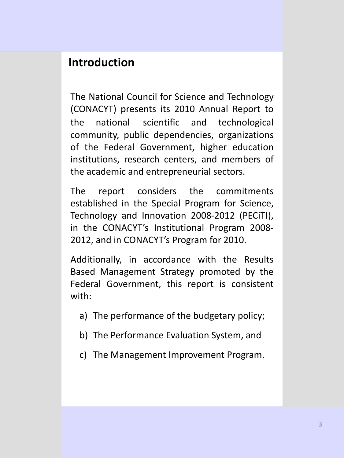### **Introduction**

The National Council for Science and Technology (CONACYT) presents its 2010 Annual Report to the national scientific and technological community, public dependencies, organizations of the Federal Government, higher education institutions, research centers, and members of the academic and entrepreneurial sectors.

The report considers the commitments established in the Special Program for Science, Technology and Innovation 2008-2012 (PECiTI), in the CONACYT's Institutional Program 2008- 2012, and in CONACYT's Program for 2010.

Additionally, in accordance with the Results Based Management Strategy promoted by the Federal Government, this report is consistent with:

- a) The performance of the budgetary policy;
- b) The Performance Evaluation System, and
- c) The Management Improvement Program.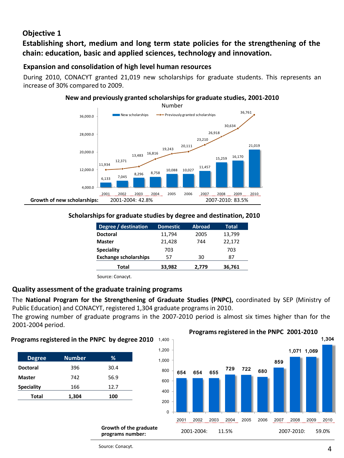#### **Objective 1**

**Establishing short, medium and long term state policies for the strengthening of the chain: education, basic and applied sciences, technology and innovation.**

#### **Expansion and consolidation of high level human resources**

During 2010, CONACYT granted 21,019 new scholarships for graduate students. This represents an increase of 30% compared to 2009.

#### **New and previously granted scholarships for graduate studies, 2001-2010**



#### **Scholarships for graduate studies by degree and destination, 2010**

| Degree / destination         | <b>Domestic</b> | <b>Abroad</b>  | Total  |  |
|------------------------------|-----------------|----------------|--------|--|
| <b>Doctoral</b>              | 11,794          | 13,799<br>2005 |        |  |
| <b>Master</b>                | 21,428          | 744            | 22,172 |  |
| <b>Speciality</b>            | 703             |                | 703    |  |
| <b>Exchange scholarships</b> | 57              | 30             | 87     |  |
| Total                        | 33,982          | 2,779          | 36,761 |  |

Source: Conacyt.

#### **Quality assessment of the graduate training programs**

The **National Program for the Strengthening of Graduate Studies (PNPC),** coordinated by SEP (Ministry of Public Education) and CONACYT, registered 1,304 graduate programs in 2010.

The growing number of graduate programs in the 2007-2010 period is almost six times higher than for the 2001-2004 period.

#### **Programs registered in the PNPC by degree 2010** 1,400

| <b>Degree</b>     | <b>Number</b> | %    |
|-------------------|---------------|------|
| <b>Doctoral</b>   | 396           | 30.4 |
| <b>Master</b>     | 742           | 56.9 |
| <b>Speciality</b> | 166           | 12.7 |
| Total             | 1,304         | 100  |

**Growth of the graduate programs number:**



Source: Conacyt.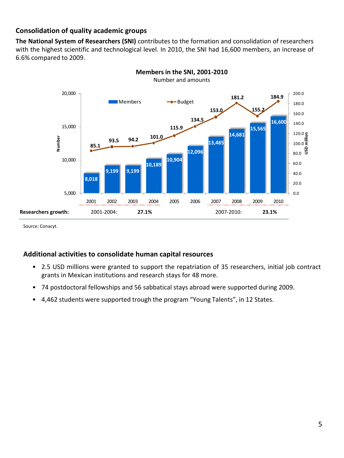#### **Consolidation of quality academic groups**

**The National System of Researchers (SNI)** contributes to the formation and consolidation of researchers with the highest scientific and technological level. In 2010, the SNI had 16,600 members, an increase of 6.6% compared to 2009.





Source: Conacyt.

#### **Additional activities to consolidate human capital resources**

- 2.5 USD millions were granted to support the repatriation of 35 researchers, initial job contract grants in Mexican institutions and research stays for 48 more.
- 74 postdoctoral fellowships and 56 sabbatical stays abroad were supported during 2009.
- 4,462 students were supported trough the program "Young Talents", in 12 States.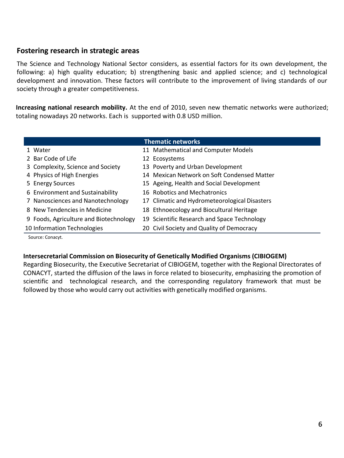#### **Fostering research in strategic areas**

The Science and Technology National Sector considers, as essential factors for its own development, the following: a) high quality education; b) strengthening basic and applied science; and c) technological development and innovation. These factors will contribute to the improvement of living standards of our society through a greater competitiveness.

**Increasing national research mobility.** At the end of 2010, seven new thematic networks were authorized; totaling nowadays 20 networks. Each is supported with 0.8 USD million.

| <b>Thematic networks</b>               |                                               |  |  |  |
|----------------------------------------|-----------------------------------------------|--|--|--|
| 1 Water                                | 11 Mathematical and Computer Models           |  |  |  |
| 2 Bar Code of Life                     | 12 Ecosystems                                 |  |  |  |
| 3 Complexity, Science and Society      | 13 Poverty and Urban Development              |  |  |  |
| 4 Physics of High Energies             | 14 Mexican Network on Soft Condensed Matter   |  |  |  |
| 5 Energy Sources                       | 15 Ageing, Health and Social Development      |  |  |  |
| 6 Environment and Sustainability       | 16 Robotics and Mechatronics                  |  |  |  |
| 7 Nanosciences and Nanotechnology      | 17 Climatic and Hydrometeorological Disasters |  |  |  |
| 8 New Tendencies in Medicine           | 18 Ethnoecology and Biocultural Heritage      |  |  |  |
| 9 Foods, Agriculture and Biotechnology | 19 Scientific Research and Space Technology   |  |  |  |
| 10 Information Technologies            | 20 Civil Society and Quality of Democracy     |  |  |  |
| $\sim$ $\sim$ $\sim$                   |                                               |  |  |  |

Source: Conacyt.

#### **Intersecretarial Commission on Biosecurity of Genetically Modified Organisms (CIBIOGEM)**

Regarding Biosecurity, the Executive Secretariat of CIBIOGEM, together with the Regional Directorates of CONACYT, started the diffusion of the laws in force related to biosecurity, emphasizing the promotion of scientific and technological research, and the corresponding regulatory framework that must be followed by those who would carry out activities with genetically modified organisms.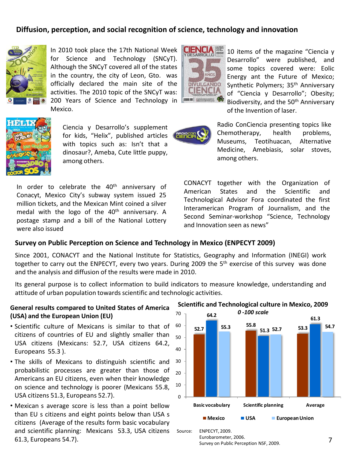#### **Diffusion, perception, and social recognition of science, technology and innovation**



In 2010 took place the 17th National Week for Science and Technology (SNCyT). Although the SNCyT covered all of the states in the country, the city of Leon, Gto. was officially declared the main site of the activities. The 2010 topic of the SNCyT was: 200 Years of Science and Technology in Mexico.



10 items of the magazine "Ciencia y Desarrollo" were published, and some topics covered were: Eolic Energy ant the Future of Mexico; Synthetic Polymers; 35<sup>th</sup> Anniversary of "Ciencia y Desarrollo"; Obesity; Biodiversity, and the 50<sup>th</sup> Anniversary of the Invention of laser.



Ciencia y Desarrollo's supplement for kids, "Helix", published articles with topics such as: Isn't that a dinosaur?, Ameba, Cute little puppy, among others.

In order to celebrate the  $40<sup>th</sup>$  anniversary of Conacyt, Mexico City's subway system issued 25 million tickets, and the Mexican Mint coined a silver medal with the logo of the  $40<sup>th</sup>$  anniversary. A postage stamp and a bill of the National Lottery were also issued



Radio ConCiencia presenting topics like Chemotherapy, health problems, Museums, Teotihuacan, Alternative Medicine, Amebiasis, solar stoves, among others.

CONACYT together with the Organization of American States and the Scientific and Technological Advisor Fora coordinated the first Interamerican Program of Journalism, and the Second Seminar-workshop "Science, Technology and Innovation seen as news"

#### **Survey on Public Perception on Science and Technology in Mexico (ENPECYT 2009)**

Since 2001, CONACYT and the National Institute for Statistics, Geography and Information (INEGI) work together to carry out the ENPECYT, every two years. During 2009 the 5<sup>th</sup> exercise of this survey was done and the analysis and diffusion of the results were made in 2010.

Its general purpose is to collect information to build indicators to measure knowledge, understanding and attitude of urban population towards scientific and technologic activities.

#### **General results compared to United States of America (USA) and the European Union (EU)**

- Scientific culture of Mexicans is similar to that of citizens of countries of EU and slightly smaller than USA citizens (Mexicans: 52.7, USA citizens 64.2, Europeans 55.3 ).
- The skills of Mexicans to distinguish scientific and probabilistic processes are greater than those of Americans an EU citizens, even when their knowledge on science and technology is poorer (Mexicans 55.8, USA citizens 51.3, Europeans 52.7).
- Mexican s average score is less than a point bellow than EU s citizens and eight points below than USA s citizens (Average of the results form basic vocabulary and scientific planning: Mexicans 53.3, USA citizens 61.3, Europeans 54.7).



#### **Scientific and Technological culture in Mexico, 2009**

*0 -100 scale*

Source: ENPECYT, 2009.

Eurobarometer, 2006.

Survey on Public Perception NSF, 2009.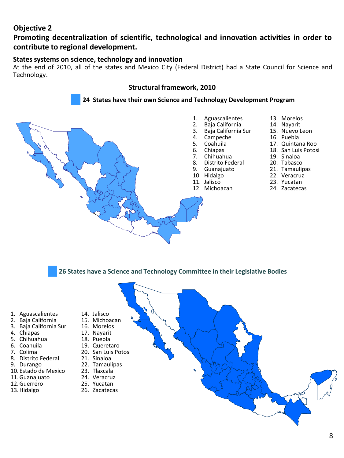#### **Objective 2**

#### **Promoting decentralization of scientific, technological and innovation activities in order to contribute to regional development.**

#### **States systems on science, technology and innovation**

At the end of 2010, all of the states and Mexico City (Federal District) had a State Council for Science and Technology.

#### **Structural framework, 2010**



**26 States have a Science and Technology Committee in their Legislative Bodies**

- 1. Aguascalientes
- 2. Baja California
- 3. Baja California Sur
- 4. Chiapas
- 5. Chihuahua
- 6. Coahuila
- 7. Colima
- 8. Distrito Federal
- 9. Durango
- 10. Estado de Mexico
- 11.Guanajuato
- 12.Guerrero 13.Hidalgo
- 14. Jalisco 15. Michoacan
	- - 16. Morelos
			- 17. Nayarit
			- 18. Puebla
			- 19. Queretaro
			- 20. San Luis Potosi
		- 21. Sinaloa
			- 22. Tamaulipas
			- 23. Tlaxcala
			- 24. Veracruz
		- 25. Yucatan
			- 26. Zacatecas

8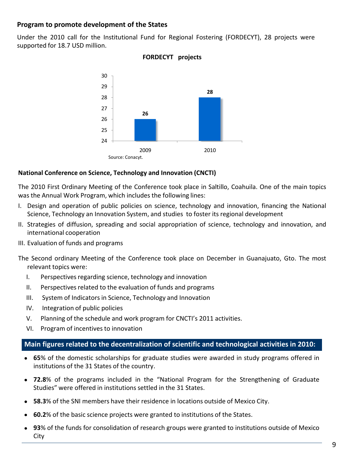#### **Program to promote development of the States**

Under the 2010 call for the Institutional Fund for Regional Fostering (FORDECYT), 28 projects were supported for 18.7 USD million.



#### **FORDECYT projects**

#### **National Conference on Science, Technology and Innovation (CNCTI)**

The 2010 First Ordinary Meeting of the Conference took place in Saltillo, Coahuila. One of the main topics was the Annual Work Program, which includes the following lines:

- I. Design and operation of public policies on science, technology and innovation, financing the National Science, Technology an Innovation System, and studies to foster its regional development
- II. Strategies of diffusion, spreading and social appropriation of science, technology and innovation, and international cooperation
- III. Evaluation of funds and programs
- The Second ordinary Meeting of the Conference took place on December in Guanajuato, Gto. The most relevant topics were:
	- I. Perspectives regarding science, technology and innovation
	- II. Perspectives related to the evaluation of funds and programs
	- III. System of Indicators in Science, Technology and Innovation
	- IV. Integration of public policies
	- V. Planning of the schedule and work program for CNCTI's 2011 activities.
	- VI. Program of incentives to innovation

#### **Main figures related to the decentralization of scientific and technological activities in 2010:**

- **65**% of the domestic scholarships for graduate studies were awarded in study programs offered in institutions of the 31 States of the country.
- **72.8**% of the programs included in the "National Program for the Strengthening of Graduate Studies" were offered in institutions settled in the 31 States.
- **58.3**% of the SNI members have their residence in locations outside of Mexico City.
- **60.2**% of the basic science projects were granted to institutions of the States.
- **93**% of the funds for consolidation of research groups were granted to institutions outside of Mexico City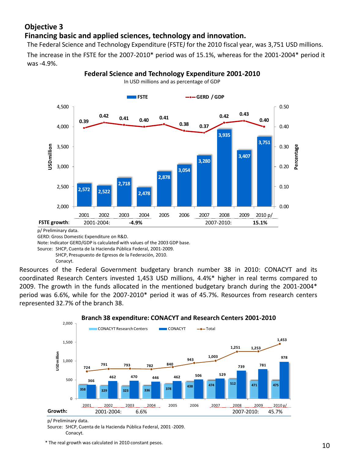#### **Objective 3 Financing basic and applied sciences, technology and innovation.**

The Federal Science and Technology Expenditure (FSTE*)* for the 2010 fiscal year, was 3,751 USD millions.

The increase in the FSTE for the 2007-2010\* period was of 15.1%, whereas for the 2001-2004\* period it was -4.9%.



**Federal Science and Technology Expenditure 2001-2010**

In USD millions and as percentage of GDP

p/ Preliminary data.

GERD: Gross Domestic Expenditure on R&D.

Note: Indicator GERD/GDP is calculated with values of the 2003 GDP base.

Source: SHCP, Cuenta de la Hacienda Pública Federal, 2001-2009. SHCP, Presupuesto de Egresos de la Federación, 2010. Conacyt.

Resources of the Federal Government budgetary branch number 38 in 2010: CONACYT and its coordinated Research Centers invested 1,453 USD millions, 4.4%\* higher in real terms compared to 2009. The growth in the funds allocated in the mentioned budgetary branch during the 2001-2004\* period was 6.6%, while for the 2007-2010\* period it was of 45.7%. Resources from research centers represented 32.7% of the branch 38.



#### **Branch 38 expenditure: CONACYT and Research Centers 2001-2010**

p/ Preliminary data.

Source: SHCP, Cuenta de la Hacienda Pública Federal, 2001 -2009. Conacyt.

\* The real growth was calculated in 2010 constant pesos.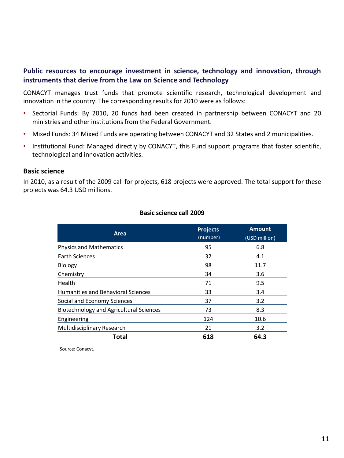#### **Public resources to encourage investment in science, technology and innovation, through instruments that derive from the Law on Science and Technology**

CONACYT manages trust funds that promote scientific research, technological development and innovation in the country. The corresponding results for 2010 were as follows:

- Sectorial Funds: By 2010, 20 funds had been created in partnership between CONACYT and 20 ministries and other institutionsfrom the Federal Government.
- Mixed Funds: 34 Mixed Funds are operating between CONACYT and 32 States and 2 municipalities.
- Institutional Fund: Managed directly by CONACYT, this Fund support programs that foster scientific, technological and innovation activities.

#### **Basic science**

In 2010, as a result of the 2009 call for projects, 618 projects were approved. The total support for these projects was 64.3 USD millions.

| Area                                           | <b>Projects</b><br>(number) | <b>Amount</b><br>(USD million) |
|------------------------------------------------|-----------------------------|--------------------------------|
| <b>Physics and Mathematics</b>                 | 95                          | 6.8                            |
| <b>Earth Sciences</b>                          | 32                          | 4.1                            |
| Biology                                        | 98<br>11.7                  |                                |
| Chemistry                                      | 34                          | 3.6                            |
| Health                                         | 71                          | 9.5                            |
| <b>Humanities and Behavioral Sciences</b>      | 33                          | 3.4                            |
| Social and Economy Sciences                    | 37                          | 3.2                            |
| <b>Biotechnology and Agricultural Sciences</b> | 73                          | 8.3                            |
| Engineering                                    | 124                         | 10.6                           |
| Multidisciplinary Research                     | 21                          | 3.2                            |
| Total                                          | 618                         | 64.3                           |

#### **Basic science call 2009**

Source: Conacyt.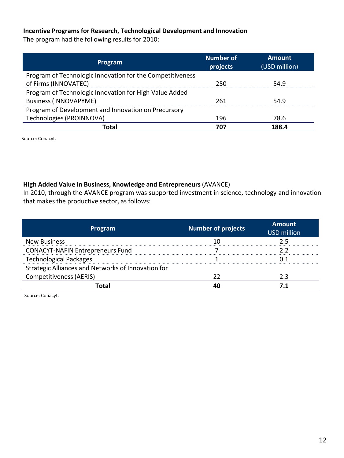#### **Incentive Programs for Research, Technological Development and Innovation**

The program had the following results for 2010:

| Program                                                                                | <b>Number of</b><br>projects | <b>Amount</b><br>(USD million) |
|----------------------------------------------------------------------------------------|------------------------------|--------------------------------|
| Program of Technologic Innovation for the Competitiveness<br>of Firms (INNOVATEC)      | 250                          | 54.9                           |
| Program of Technologic Innovation for High Value Added<br><b>Business (INNOVAPYME)</b> | 261                          | 54.9                           |
| Program of Development and Innovation on Precursory                                    |                              |                                |
| Technologies (PROINNOVA)                                                               | 196                          | 78.6                           |
| Total                                                                                  | 707                          | 188.4                          |

Source: Conacyt.

#### **High Added Value in Business, Knowledge and Entrepreneurs**(AVANCE)

In 2010, through the AVANCE program was supported investment in science, technology and innovation that makes the productive sector, as follows:

| Program                                            | <b>Number of projects</b> | <b>Amount</b><br><b>USD million</b> |
|----------------------------------------------------|---------------------------|-------------------------------------|
| <b>New Business</b>                                |                           | 2.5                                 |
| <b>CONACYT-NAFIN Entrepreneurs Fund</b>            |                           |                                     |
| <b>Technological Packages</b>                      |                           |                                     |
| Strategic Alliances and Networks of Innovation for |                           |                                     |
| <b>Competitiveness (AERIS)</b>                     |                           | 23                                  |
| `∩ta                                               |                           |                                     |

Source: Conacyt.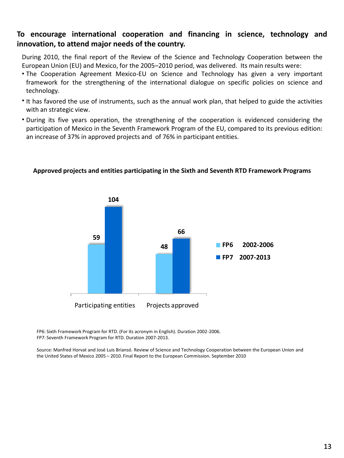#### **To encourage international cooperation and financing in science, technology and innovation, to attend major needs of the country.**

During 2010, the final report of the Review of the Science and Technology Cooperation between the European Union (EU) and Mexico, for the 2005–2010 period, was delivered. Its main results were:

- The Cooperation Agreement Mexico-EU on Science and Technology has given a very important framework for the strengthening of the international dialogue on specific policies on science and technology.
- It has favored the use of instruments, such as the annual work plan, that helped to guide the activities with an strategic view.
- During its five years operation, the strengthening of the cooperation is evidenced considering the participation of Mexico in the Seventh Framework Program of the EU, compared to its previous edition: an increase of 37% in approved projects and of 76% in participant entities.



#### **Approved projects and entities participating in the Sixth and Seventh RTD Framework Programs**

FP6: Sixth Framework Program for RTD. (For its acronym in English). Duration 2002-2006. FP7: Seventh Framework Program for RTD. Duration 2007-2013.

Source: Manfred Horvat and José Luis Briansó. Review of Science and Technology Cooperation between the European Union and the United States of Mexico 2005 – 2010. Final Report to the European Commission. September 2010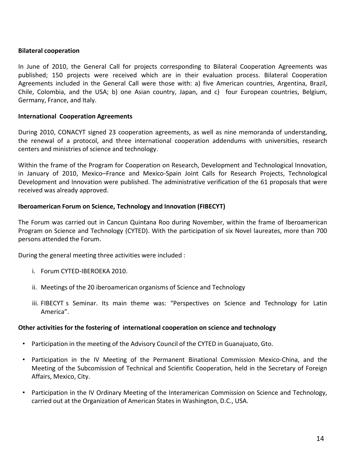#### **Bilateral cooperation**

In June of 2010, the General Call for projects corresponding to Bilateral Cooperation Agreements was published; 150 projects were received which are in their evaluation process. Bilateral Cooperation Agreements included in the General Call were those with: a) five American countries, Argentina, Brazil, Chile, Colombia, and the USA; b) one Asian country, Japan, and c) four European countries, Belgium, Germany, France, and Italy.

#### **International Cooperation Agreements**

During 2010, CONACYT signed 23 cooperation agreements, as well as nine memoranda of understanding, the renewal of a protocol, and three international cooperation addendums with universities, research centers and ministries of science and technology.

Within the frame of the Program for Cooperation on Research, Development and Technological Innovation, in January of 2010, Mexico–France and Mexico-Spain Joint Calls for Research Projects, Technological Development and Innovation were published. The administrative verification of the 61 proposals that were received was already approved.

#### **Iberoamerican Forum on Science, Technology and Innovation (FIBECYT)**

The Forum was carried out in Cancun Quintana Roo during November, within the frame of Iberoamerican Program on Science and Technology (CYTED). With the participation of six Novel laureates, more than 700 persons attended the Forum.

During the general meeting three activities were included :

- i. Forum CYTED-IBEROEKA 2010.
- ii. Meetings of the 20 iberoamerican organisms of Science and Technology
- iii. FIBECYT s Seminar. Its main theme was: "Perspectives on Science and Technology for Latin America".

#### **Other activities for the fostering of international cooperation on science and technology**

- Participation in the meeting of the Advisory Council of the CYTED in Guanajuato, Gto.
- Participation in the IV Meeting of the Permanent Binational Commission Mexico-China, and the Meeting of the Subcomission of Technical and Scientific Cooperation, held in the Secretary of Foreign Affairs, Mexico, City.
- Participation in the IV Ordinary Meeting of the Interamerican Commission on Science and Technology, carried out at the Organization of American Statesin Washington, D.C., USA.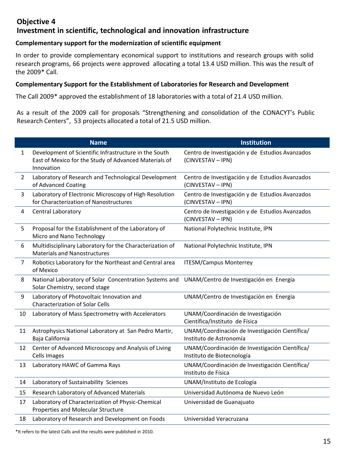#### **Objective 4 Investment in scientific, technological and innovation infrastructure**

#### **Complementary support for the modernization of scientific equipment**

In order to provide complementary economical support to institutions and research groups with solid research programs, 66 projects were approved allocating a total 13.4 USD million. This was the result of the 2009\* Call.

#### **Complementary Support for the Establishment of Laboratories for Research and Development**

The Call 2009\* approved the establishment of 18 laboratories with a total of 21.4 USD million.

As a result of the 2009 call for proposals "Strengthening and consolidation of the CONACYT's Public Research Centers", 53 projects allocated a total of 21.5 USD million.

|                | <b>Name</b>                                                                                                                  | Institution                                                                  |
|----------------|------------------------------------------------------------------------------------------------------------------------------|------------------------------------------------------------------------------|
| $\mathbf{1}$   | Development of Scientific Infrastructure in the South<br>East of Mexico for the Study of Advanced Materials of<br>Innovation | Centro de Investigación y de Estudios Avanzados<br>(CINVESTAV - IPN)         |
| $\overline{2}$ | Laboratory of Research and Technological Development<br>of Advanced Coating                                                  | Centro de Investigación y de Estudios Avanzados<br>(CINVESTAV - IPN)         |
| 3              | Laboratory of Electronic Microscopy of High Resolution<br>for Characterization of Nanostructures                             | Centro de Investigación y de Estudios Avanzados<br>(CINVESTAV - IPN)         |
| 4              | Central Laboratory                                                                                                           | Centro de Investigación y de Estudios Avanzados<br>(CINVESTAV - IPN)         |
| 5              | Proposal for the Establishment of the Laboratory of<br>Micro and Nano Technology                                             | National Polytechnic Institute, IPN                                          |
| 6              | Multidisciplinary Laboratory for the Characterization of<br><b>Materials and Nanostructures</b>                              | National Polytechnic Institute, IPN                                          |
| $\overline{7}$ | Robotics Laboratory for the Northeast and Central area<br>of Mexico                                                          | <b>ITESM/Campus Monterrey</b>                                                |
| 8              | National Laboratory of Solar Concentration Systems and<br>Solar Chemistry, second stage                                      | UNAM/Centro de Investigación en Energía                                      |
| 9              | Laboratory of Photovoltaic Innovation and<br><b>Characterization of Solar Cells</b>                                          | UNAM/Centro de Investigación en Energía                                      |
| 10             | Laboratory of Mass Spectrometry with Accelerators                                                                            | UNAM/Coordinación de Investigación<br>Científica/Instituto de Física         |
| 11             | Astrophysics National Laboratory at San Pedro Martir,<br>Baja California                                                     | UNAM/Coordinación de Investigación Científica/<br>Instituto de Astronomía    |
| 12             | Center of Advanced Microscopy and Analysis of Living<br><b>Cells Images</b>                                                  | UNAM/Coordinación de Investigación Científica/<br>Instituto de Biotecnología |
| 13             | Laboratory HAWC of Gamma Rays                                                                                                | UNAM/Coordinación de Investigación Científica/<br>Instituto de Física        |
| 14             | Laboratory of Sustainability Sciences                                                                                        | UNAM/Instituto de Ecología                                                   |
| 15             | Research Laboratory of Advanced Materials                                                                                    | Universidad Autónoma de Nuevo León                                           |
| 17             | Laboratory of Characterization of Physic-Chemical<br>Properties and Molecular Structure                                      | Universidad de Guanajuato                                                    |
| 18             | Laboratory of Research and Development on Foods                                                                              | Universidad Veracruzana                                                      |

\*It refers to the latest Calls and the results were published in 2010.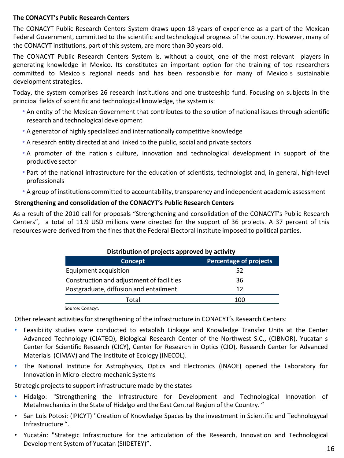#### **The CONACYT's Public Research Centers**

The CONACYT Public Research Centers System draws upon 18 years of experience as a part of the Mexican Federal Government, committed to the scientific and technological progress of the country. However, many of the CONACYT institutions, part of this system, are more than 30 years old.

The CONACYT Public Research Centers System is, without a doubt, one of the most relevant players in generating knowledge in Mexico. Its constitutes an important option for the training of top researchers committed to Mexico s regional needs and has been responsible for many of Mexico s sustainable development strategies.

Today, the system comprises 26 research institutions and one trusteeship fund. Focusing on subjects in the principal fields of scientific and technological knowledge, the system is:

- An entity of the Mexican Government that contributes to the solution of national issues through scientific research and technological development
- A generator of highly specialized and internationally competitive knowledge
- A research entity directed at and linked to the public, social and private sectors
- A promoter of the nation s culture, innovation and technological development in support of the productive sector
- Part of the national infrastructure for the education of scientists, technologist and, in general, high-level professionals
- A group of institutions committed to accountability, transparency and independent academic assessment

#### **Strengthening and consolidation of the CONACYT's Public Research Centers**

As a result of the 2010 call for proposals "Strengthening and consolidation of the CONACYT's Public Research Centers", a total of 11.9 USD millions were directed for the support of 36 projects. A 37 percent of this resources were derived from the fines that the Federal Electoral Institute imposed to political parties.

| Distribution of projects approved by activity |                               |  |  |
|-----------------------------------------------|-------------------------------|--|--|
| Concept                                       | <b>Percentage of projects</b> |  |  |
| Equipment acquisition                         | 52                            |  |  |
| Construction and adjustment of facilities     | 36                            |  |  |
| Postgraduate, diffusion and entailment        | 12                            |  |  |
| Total                                         | 100                           |  |  |
|                                               |                               |  |  |

#### **Distribution of projects approved by activity**

Source: Conacyt.

Other relevant activities for strengthening of the infrastructure in CONACYT's Research Centers:

- Feasibility studies were conducted to establish Linkage and Knowledge Transfer Units at the Center Advanced Technology (CIATEQ), Biological Research Center of the Northwest S.C., (CIBNOR), Yucatan s Center for Scientific Research (CICY), Center for Research in Optics (CIO), Research Center for Advanced Materials (CIMAV) and The Institute of Ecology (INECOL).
- The National Institute for Astrophysics, Optics and Electronics (INAOE) opened the Laboratory for Innovation in Micro-electro-mechanic Systems

Strategic projects to support infrastructure made by the states

- Hidalgo: "Strengthening the Infrastructure for Development and Technological Innovation of Metalmechanics in the State of Hidalgo and the East Central Region of the Country. "
- San Luis Potosí: (IPICYT) "Creation of Knowledge Spaces by the investment in Scientific and Technologycal Infrastructure ".
- Yucatán: "Strategic Infrastructure for the articulation of the Research, Innovation and Technological Development System of Yucatan (SIIDETEY)".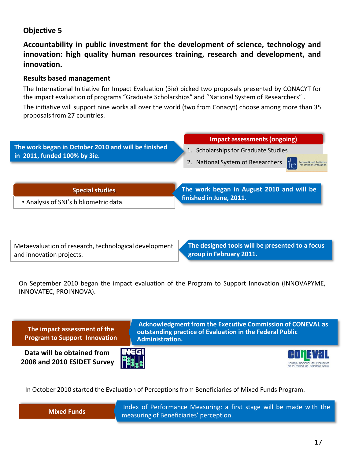#### **Objective 5**

**Accountability in public investment for the development of science, technology and innovation: high quality human resources training, research and development, and innovation.**

#### **Results based management**

The International Initiative for Impact Evaluation (3ie) picked two proposals presented by CONACYT for the impact evaluation of programs "Graduate Scholarships" and "National System of Researchers" .

The initiative will support nine works all over the world (two from Conacyt) choose among more than 35 proposals from 27 countries.



Metaevaluation of research, technological development and innovation projects.

**The designed tools will be presented to a focus group in February 2011.**

On September 2010 began the impact evaluation of the Program to Support Innovation (INNOVAPYME, INNOVATEC, PROINNOVA).



In October 2010 started the Evaluation of Perceptionsfrom Beneficiaries of Mixed Funds Program.



Index of Performance Measuring: a first stage will be made with the measuring of Beneficiaries' perception.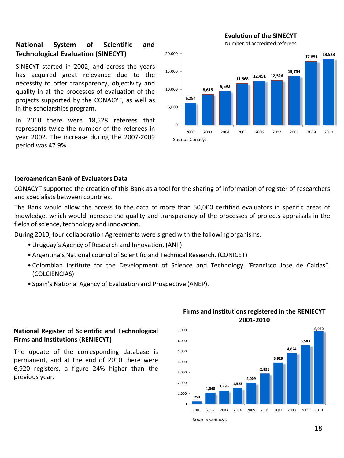# **Technological Evaluation (SINECYT)**

SINECYT started in 2002, and across the years has acquired great relevance due to the necessity to offer transparency, objectivity and quality in all the processes of evaluation of the projects supported by the CONACYT, as well as in the scholarships program.

In 2010 there were 18,528 referees that represents twice the number of the referees in year 2002. The increase during the 2007-2009 period was 47.9%.



#### **Iberoamerican Bank of Evaluators Data**

CONACYT supported the creation of this Bank as a tool for the sharing of information of register of researchers and specialists between countries.

The Bank would allow the access to the data of more than 50,000 certified evaluators in specific areas of knowledge, which would increase the quality and transparency of the processes of projects appraisals in the fields of science, technology and innovation.

During 2010, four collaboration Agreements were signed with the following organisms.

- •Uruguay's Agency of Research and Innovation. (ANII)
- Argentina's National council of Scientific and Technical Research. (CONICET)
- Colombian Institute for the Development of Science and Technology "Francisco Jose de Caldas". (COLCIENCIAS)
- Spain's National Agency of Evaluation and Prospective (ANEP).

#### **National Register of Scientific and Technological Firms and Institutions (RENIECYT)**

The update of the corresponding database is permanent, and at the end of 2010 there were 6,920 registers, a figure 24% higher than the previous year.

#### **Firms and institutions registered in the RENIECYT 2001-2010**

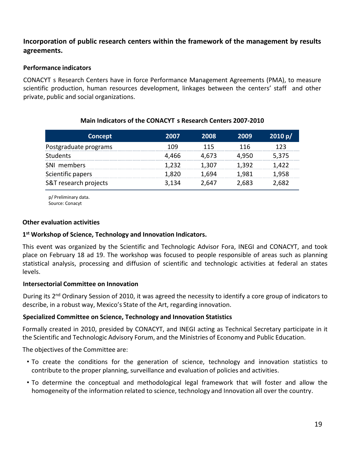#### **Incorporation of public research centers within the framework of the management by results agreements.**

#### **Performance indicators**

CONACYT s Research Centers have in force Performance Management Agreements (PMA), to measure scientific production, human resources development, linkages between the centers' staff and other private, public and social organizations.

| Main Indicators of the CONACYT s Research Centers 2007-2010 |  |
|-------------------------------------------------------------|--|
|-------------------------------------------------------------|--|

| Concept               | 2007  | 2008  | 2009  | 2010 p/ |
|-----------------------|-------|-------|-------|---------|
| Postgraduate programs | 109   | 115   | 116   | 123     |
| <b>Students</b>       | 4,466 | 4.673 | 4.950 | 5,375   |
| SNI members           | 1.232 | 1.307 | 1.392 | 1.422   |
| Scientific papers     | 1.820 | 1.694 | 1.981 | 1,958   |
| S&T research projects | 3,134 | 2.647 | 2,683 | 2,682   |

p/ Preliminary data. Source: Conacyt

#### **Other evaluation activities**

#### **1 st Workshop of Science, Technology and Innovation Indicators.**

This event was organized by the Scientific and Technologic Advisor Fora, INEGI and CONACYT, and took place on February 18 ad 19. The workshop was focused to people responsible of areas such as planning statistical analysis, processing and diffusion of scientific and technologic activities at federal an states levels.

#### **Intersectorial Committee on Innovation**

During its 2<sup>nd</sup> Ordinary Session of 2010, it was agreed the necessity to identify a core group of indicators to describe, in a robust way, Mexico's State of the Art, regarding innovation.

#### **Specialized Committee on Science, Technology and Innovation Statistics**

Formally created in 2010, presided by CONACYT, and INEGI acting as Technical Secretary participate in it the Scientific and Technologic Advisory Forum, and the Ministries of Economy and Public Education.

The objectives of the Committee are:

- To create the conditions for the generation of science, technology and innovation statistics to contribute to the proper planning, surveillance and evaluation of policies and activities.
- To determine the conceptual and methodological legal framework that will foster and allow the homogeneity of the information related to science, technology and Innovation all over the country.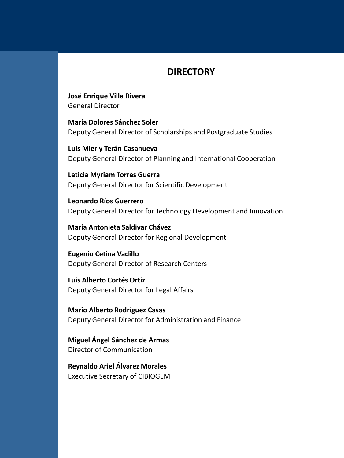#### **DIRECTORY**

**José Enrique Villa Rivera** General Director

**María Dolores Sánchez Soler** Deputy General Director of Scholarships and Postgraduate Studies

**Luis Mier y Terán Casanueva** Deputy General Director of Planning and International Cooperation

**Leticia Myriam Torres Guerra** Deputy General Director for Scientific Development

**Leonardo Ríos Guerrero** Deputy General Director for Technology Development and Innovation

**María Antonieta Saldivar Chávez** Deputy General Director for Regional Development

**Eugenio Cetina Vadillo** Deputy General Director of Research Centers

**Luis Alberto Cortés Ortiz** Deputy General Director for Legal Affairs

**Mario Alberto Rodríguez Casas** Deputy General Director for Administration and Finance

**Miguel Ángel Sánchez de Armas** Director of Communication

**Reynaldo Ariel Álvarez Morales** Executive Secretary of CIBIOGEM